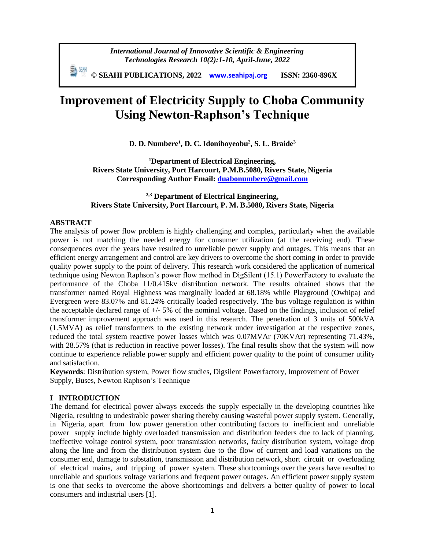*International Journal of Innovative Scientific & Engineering Technologies Research 10(2):1-10, April-June, 2022*

 **© SEAHI PUBLICATIONS, 2022 [www.seahipaj.org](http://www.seahipaj.org/) ISSN: 2360-896X**

# **Improvement of Electricity Supply to Choba Community Using Newton-Raphson's Technique**

**D. D. Numbere<sup>1</sup> , D. C. Idoniboyeobu<sup>2</sup> , S. L. Braide<sup>3</sup>**

**<sup>1</sup>Department of Electrical Engineering, Rivers State University, Port Harcourt, P.M.B.5080, Rivers State, Nigeria Corresponding Author Email: [duabonumbere@gmail.com](mailto:duabonumbere@gmail.com)**

## **2,3 Department of Electrical Engineering, Rivers State University, Port Harcourt, P. M. B.5080, Rivers State, Nigeria**

#### **ABSTRACT**

The analysis of power flow problem is highly challenging and complex, particularly when the available power is not matching the needed energy for consumer utilization (at the receiving end). These consequences over the years have resulted to unreliable power supply and outages. This means that an efficient energy arrangement and control are key drivers to overcome the short coming in order to provide quality power supply to the point of delivery. This research work considered the application of numerical technique using Newton Raphson's power flow method in DigSilent (15.1) PowerFactory to evaluate the performance of the Choba 11/0.415kv distribution network. The results obtained shows that the transformer named Royal Highness was marginally loaded at 68.18% while Playground (Owhipa) and Evergreen were 83.07% and 81.24% critically loaded respectively. The bus voltage regulation is within the acceptable declared range of  $+/-5\%$  of the nominal voltage. Based on the findings, inclusion of relief transformer improvement approach was used in this research. The penetration of 3 units of 500kVA (1.5MVA) as relief transformers to the existing network under investigation at the respective zones, reduced the total system reactive power losses which was 0.07MVAr (70KVAr) representing 71.43%, with 28.57% (that is reduction in reactive power losses). The final results show that the system will now continue to experience reliable power supply and efficient power quality to the point of consumer utility and satisfaction.

**Keywords**: Distribution system, Power flow studies, Digsilent Powerfactory, Improvement of Power Supply, Buses, Newton Raphson's Technique

#### **I INTRODUCTION**

The demand for electrical power always exceeds the supply especially in the developing countries like Nigeria, resulting to undesirable power sharing thereby causing wasteful power supply system. Generally, in Nigeria, apart from low power generation other contributing factors to inefficient and unreliable power supply include highly overloaded transmission and distribution feeders due to lack of planning, ineffective voltage control system, poor transmission networks, faulty distribution system, voltage drop along the line and from the distribution system due to the flow of current and load variations on the consumer end, damage to substation, transmission and distribution network, short circuit or overloading of electrical mains, and tripping of power system. These shortcomings over the years have resulted to unreliable and spurious voltage variations and frequent power outages. An efficient power supply system is one that seeks to overcome the above shortcomings and delivers a better quality of power to local consumers and industrial users [1].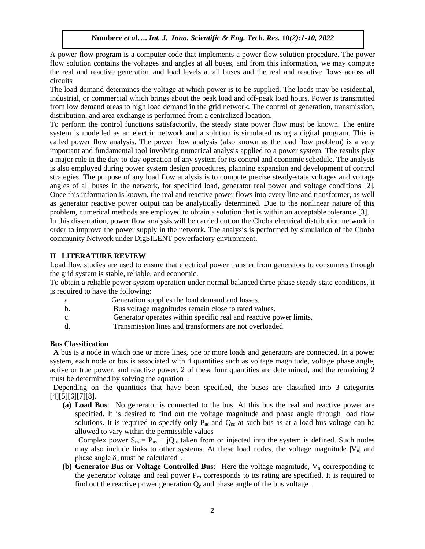A power flow program is a computer code that implements a power flow solution procedure. The power flow solution contains the voltages and angles at all buses, and from this information, we may compute the real and reactive generation and load levels at all buses and the real and reactive flows across all circuits"

The load demand determines the voltage at which power is to be supplied. The loads may be residential, industrial, or commercial which brings about the peak load and off-peak load hours. Power is transmitted from low demand areas to high load demand in the grid network. The control of generation, transmission, distribution, and area exchange is performed from a centralized location.

To perform the control functions satisfactorily, the steady state power flow must be known. The entire system is modelled as an electric network and a solution is simulated using a digital program. This is called power flow analysis. The power flow analysis (also known as the load flow problem) is a very important and fundamental tool involving numerical analysis applied to a power system. The results play a major role in the day-to-day operation of any system for its control and economic schedule. The analysis is also employed during power system design procedures, planning expansion and development of control strategies. The purpose of any load flow analysis is to compute precise steady-state voltages and voltage angles of all buses in the network, for specified load, generator real power and voltage conditions [2]. Once this information is known, the real and reactive power flows into every line and transformer, as well as generator reactive power output can be analytically determined. Due to the nonlinear nature of this problem, numerical methods are employed to obtain a solution that is within an acceptable tolerance [3]."

In this dissertation, power flow analysis will be carried out on the Choba electrical distribution network in order to improve the power supply in the network. The analysis is performed by simulation of the Choba community Network under DigSILENT powerfactory environment.

#### **II LITERATURE REVIEW**

Load flow studies are used to ensure that electrical power transfer from generators to consumers through the grid system is stable, reliable, and economic.

To obtain a reliable power system operation under normal balanced three phase steady state conditions, it is required to have the following:

- a. Generation supplies the load demand and losses.
- b. Bus voltage magnitudes remain close to rated values.
- c. Generator operates within specific real and reactive power limits.
- d. Transmission lines and transformers are not overloaded.

#### **Bus Classification**

"A bus is a node in which one or more lines, one or more loads and generators are connected. In a power system, each node or bus is associated with 4 quantities such as voltage magnitude, voltage phase angle, active or true power, and reactive power. 2 of these four quantities are determined, and the remaining 2 must be determined by solving the equation.

Depending on the quantities that have been specified, the buses are classified into 3 categories [4][5][6][7][8].

**(a) Load Bus**: "No generator is connected to the bus. At this bus the real and reactive power are specified. It is desired to find out the voltage magnitude and phase angle through load flow solutions. It is required to specify only  $P_{ns}$  and  $Q_{ns}$  at such bus as at a load bus voltage can be allowed to vary within the permissible values"

Complex power  $S_{ns} = P_{ns} + jQ_{ns}$  taken from or injected into the system is defined. Such nodes may also include links to other systems. At these load nodes, the voltage magnitude  $|V_n|$  and phase angle  $\delta_n$  must be calculated.

**(b) Generator Bus or Voltage Controlled Bus**: Here the voltage magnitude,  $V_n$  corresponding to the generator voltage and real power  $P_{ns}$  corresponds to its rating are specified. It is required to find out the reactive power generation  $Q_g$  and phase angle of the bus voltage.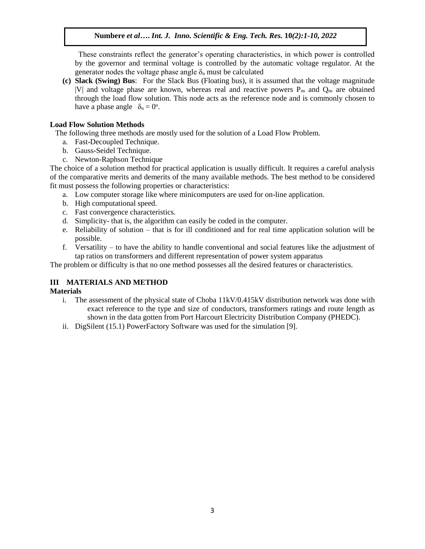These constraints reflect the generator's operating characteristics, in which power is controlled by the governor and terminal voltage is controlled by the automatic voltage regulator. At the generator nodes the voltage phase angle  $\delta_n$  must be calculated

**(c) Slack (Swing) Bus**: "For the Slack Bus (Floating bus), it is assumed that the voltage magnitude |V| and voltage phase are known, whereas real and reactive powers  $P_{ns}$  and  $Q_{ns}$  are obtained through the load flow solution. This node acts as the reference node and is commonly chosen to have a phase angle  $\delta_n = 0^\circ$ .

## **Load Flow Solution Methods**

The following three methods are mostly used for the solution of a Load Flow Problem.

- a. Fast-Decoupled Technique.
- b. Gauss-Seidel Technique.
- c. Newton-Raphson Technique

The choice of a solution method for practical application is usually difficult. It requires a careful analysis of the comparative merits and demerits of the many available methods. The best method to be considered fit must possess the following properties or characteristics:

- a. Low computer storage like where minicomputers are used for on-line application.
- b. High computational speed.
- c. Fast convergence characteristics.
- d. Simplicity- that is, the algorithm can easily be coded in the computer.
- e. Reliability of solution that is for ill conditioned and for real time application solution will be possible.
- f. Versatility to have the ability to handle conventional and social features like the adjustment of tap ratios on transformers and different representation of power system apparatus"

The problem or difficulty is that no one method possesses all the desired features or characteristics.

# **III MATERIALS AND METHOD**

#### **Materials**

- i. The assessment of the physical state of Choba 11kV/0.415kV distribution network was done with exact reference to the type and size of conductors, transformers ratings and route length as shown in the data gotten from Port Harcourt Electricity Distribution Company (PHEDC).
- ii. DigSilent (15.1) PowerFactory Software was used for the simulation [9].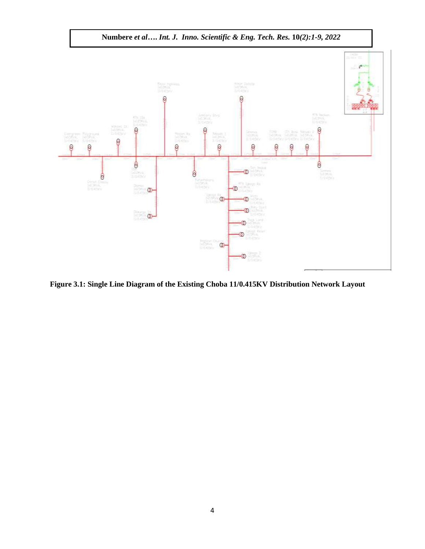

**Figure 3.1: Single Line Diagram of the Existing Choba 11/0.415KV Distribution Network Layout**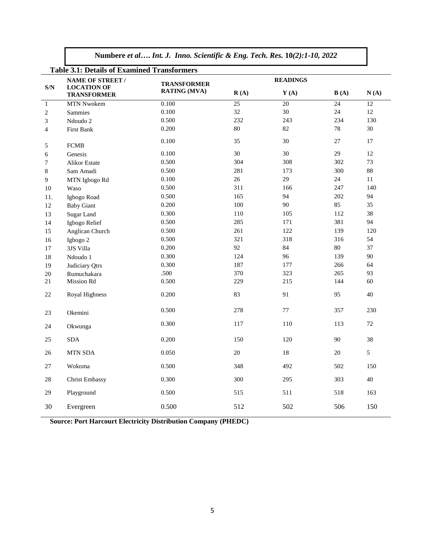| Numbere et al Int. J. Inno. Scientific & Eng. Tech. Res. 10(2):1-10, 2022 |  |  |  |  |  |
|---------------------------------------------------------------------------|--|--|--|--|--|
|                                                                           |  |  |  |  |  |

| <b>Table 3.1: Details of Examined Transformers</b> |                                          |                     |                                  |                 |                 |                 |  |
|----------------------------------------------------|------------------------------------------|---------------------|----------------------------------|-----------------|-----------------|-----------------|--|
| <b>NAME OF STREET /</b>                            |                                          | <b>TRANSFORMER</b>  |                                  | <b>READINGS</b> |                 |                 |  |
| S/N                                                | <b>LOCATION OF</b><br><b>TRANSFORMER</b> | <b>RATING (MVA)</b> | $\mathbf{R}(\mathbf{A})$<br>Y(A) |                 | B(A)            | N(A)            |  |
| $\mathbf{1}$                                       | <b>MTN Nwokem</b>                        | 0.100               | $\overline{25}$                  | 20              | $\overline{24}$ | $\overline{12}$ |  |
| $\sqrt{2}$                                         | Sammies                                  | 0.100               | 32                               | 30              | $24\,$          | 12              |  |
| 3                                                  | Ndoudo 2                                 | 0.500               | 232                              | 243             | 234             | 130             |  |
| $\overline{4}$                                     | <b>First Bank</b>                        | 0.200               | 80                               | 82              | 78              | 30              |  |
| 5                                                  | <b>FCMB</b>                              | 0.100               | 35                               | 30              | 27              | 17              |  |
| 6                                                  | Genesis                                  | 0.100               | 30                               | 30              | 29              | 12              |  |
| $\boldsymbol{7}$                                   | <b>Alikor Estate</b>                     | 0.500               | 304                              | 308             | 302             | 73              |  |
| 8                                                  | Sam Amadi                                | 0.500               | 281                              | 173             | 300             | 88              |  |
| $\overline{9}$                                     | MTN Igbogo Rd                            | 0.100               | 26                               | 29              | $24\,$          | $11\,$          |  |
| 10                                                 | Waso                                     | 0.500               | 311                              | 166             | 247             | 140             |  |
| 11.                                                | Igbogo Road                              | 0.500               | 165                              | 94              | 202             | 94              |  |
| 12                                                 | <b>Baby Giant</b>                        | 0.200               | 100                              | 90              | 85              | 35              |  |
| 13                                                 | Sugar Land                               | 0.300               | 110                              | 105             | 112             | 38              |  |
| 14                                                 | Igbogo Relief                            | 0.500               | 285                              | 171             | 381             | 94              |  |
| 15                                                 | Anglican Church                          | 0.500               | 261                              | 122             | 139             | 120             |  |
| 16                                                 | Igbogo 2                                 | 0.500               | 321                              | 318             | 316             | 54              |  |
| 17                                                 | 3JS Villa                                | 0.200               | 92                               | 84              | $80\,$          | 37              |  |
| 18                                                 | Ndoudo 1                                 | 0.300               | 124                              | 96              | 139             | 90              |  |
| 19                                                 | Judiciary Qtrs                           | 0.300               | 187                              | 177             | 266             | 64              |  |
| 20                                                 | Rumuchakara                              | .500                | 370                              | 323             | 265             | 93              |  |
| 21                                                 | Mission Rd                               | 0.500               | 229                              | 215             | 144             | 60              |  |
| 22                                                 | <b>Royal Highness</b>                    | 0.200               | 83                               | 91              | 95              | 40              |  |
| 23                                                 | Okemini                                  | 0.500               | 278                              | 77              | 357             | 230             |  |
| 24                                                 | Okwunga                                  | 0.300               | 117                              | 110             | 113             | 72              |  |
| 25                                                 | <b>SDA</b>                               | 0.200               | 150                              | 120             | 90              | 38              |  |
| 26                                                 | <b>MTN SDA</b>                           | 0.050               | 20                               | 18              | 20              | 5               |  |
| 27                                                 | Wokoma                                   | 0.500               | 348                              | 492             | 502             | 150             |  |
| 28                                                 | <b>Christ Embassy</b>                    | 0.300               | 300                              | 295             | 303             | 40              |  |
| 29                                                 | Playground                               | 0.500               | 515                              | 511             | 518             | 163             |  |
| 30                                                 | Evergreen                                | 0.500               | 512                              | 502             | 506             | 150             |  |

**Source: Port Harcourt Electricity Distribution Company (PHEDC)**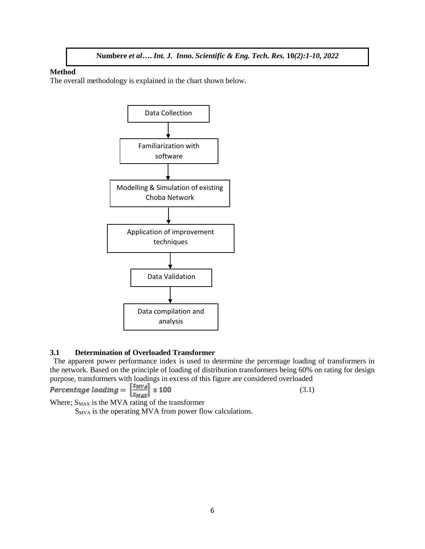#### **Method**

The overall methodology is explained in the chart shown below.



#### **3.1 Determination of Overloaded Transformer**

The apparent power performance index is used to determine the percentage loading of transformers in the network. Based on the principle of loading of distribution transformers being 60% on rating for design purpose, transformers with loadings in excess of this figure are considered overloaded"

$$
Percentage~loading = \left[\frac{S_Mv_A}{S_{MAX}}\right] \times 100
$$

(3.1)

Where;  $S_{MAX}$  is the MVA rating of the transformer

 $S_{MVA}$  is the operating MVA from power flow calculations.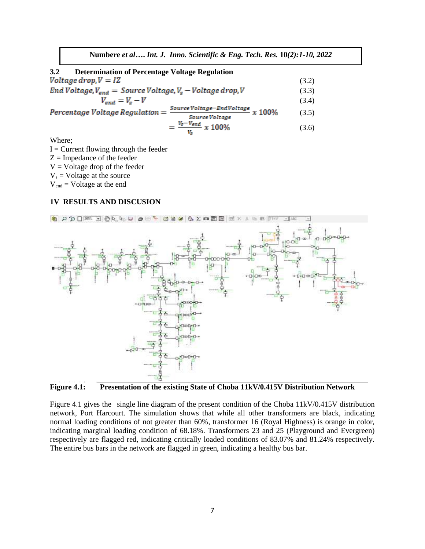| 3.2<br><b>Determination of Percentage Voltage Regulation</b>                              |       |  |
|-------------------------------------------------------------------------------------------|-------|--|
| Voltage drop, $V = IZ$                                                                    | (3.2) |  |
| End Voltage, $V_{end}$ = Source Voltage, $V_s$ – Voltage drop, V                          |       |  |
| $V_{end} = V_s - V$                                                                       | (3.4) |  |
| Source Voltage-EndVoltage $x$ 100%<br>$Percentage Voltage Regulation =$<br>Source Voltage | (3.5) |  |
| $=\frac{V_s - V_{end}}{x}$ x 100%                                                         | (3.6) |  |

Where;

 $I =$  Current flowing through the feeder  $Z =$  Impedance of the feeder  $V =$  Voltage drop of the feeder  $V_s$  = Voltage at the source  $V_{\text{end}}$  = Voltage at the end

#### **1V RESULTS AND DISCUSION**



**Figure 4.1: Presentation of the existing State of Choba 11kV/0.415V Distribution Network**

Figure 4.1 gives the single line diagram of the present condition of the Choba 11kV/0.415V distribution network, Port Harcourt. The simulation shows that while all other transformers are black, indicating normal loading conditions of not greater than 60%, transformer 16 (Royal Highness) is orange in color, indicating marginal loading condition of 68.18%. Transformers 23 and 25 (Playground and Evergreen) respectively are flagged red, indicating critically loaded conditions of 83.07% and 81.24% respectively. The entire bus bars in the network are flagged in green, indicating a healthy bus bar.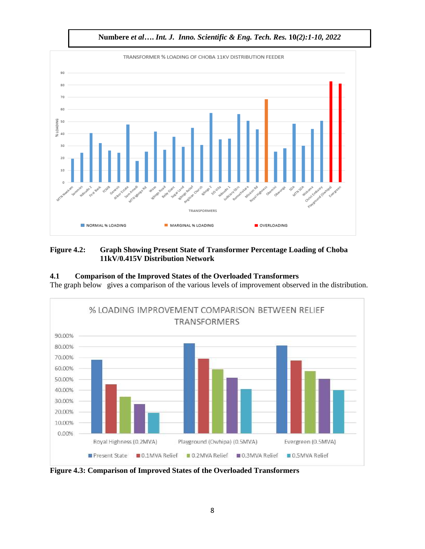

## **Figure 4.2: Graph Showing Present State of Transformer Percentage Loading of Choba 11kV/0.415V Distribution Network**

## **4.1 Comparison of the Improved States of the Overloaded Transformers**

The graph below gives a comparison of the various levels of improvement observed in the distribution.



**Figure 4.3: Comparison of Improved States of the Overloaded Transformers**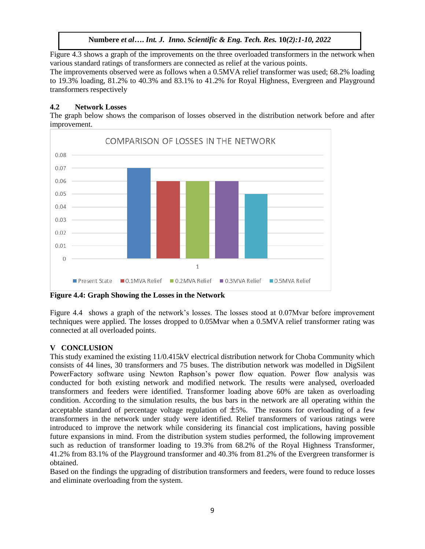Figure 4.3 shows a graph of the improvements on the three overloaded transformers in the network when various standard ratings of transformers are connected as relief at the various points.

The improvements observed were as follows when a 0.5MVA relief transformer was used; 68.2% loading to 19.3% loading, 81.2% to 40.3% and 83.1% to 41.2% for Royal Highness, Evergreen and Playground transformers respectively"

# **4.2 Network Losses**

The graph below shows the comparison of losses observed in the distribution network before and after improvement.



**Figure 4.4: Graph Showing the Losses in the Network**

Figure 4.4 shows a graph of the network's losses. The losses stood at 0.07Mvar before improvement techniques were applied. The losses dropped to 0.05Mvar when a 0.5MVA relief transformer rating was connected at all overloaded points.

# **V CONCLUSION**

This study examined the existing 11/0.415kV electrical distribution network for Choba Community which consists of 44 lines, 30 transformers and 75 buses. The distribution network was modelled in DigSilent PowerFactory software using Newton Raphson's power flow equation. Power flow analysis was conducted for both existing network and modified network. The results were analysed, overloaded transformers and feeders were identified. Transformer loading above 60% are taken as overloading condition. According to the simulation results, the bus bars in the network are all operating within the acceptable standard of percentage voltage regulation of  $\pm$ 5%. The reasons for overloading of a few transformers in the network under study were identified. Relief transformers of various ratings were introduced to improve the network while considering its financial cost implications, having possible future expansions in mind. From the distribution system studies performed, the following improvement such as reduction of transformer loading to 19.3% from 68.2% of the Royal Highness Transformer, 41.2% from 83.1% of the Playground transformer and 40.3% from 81.2% of the Evergreen transformer is obtained.

Based on the findings the upgrading of distribution transformers and feeders, were found to reduce losses and eliminate overloading from the system.